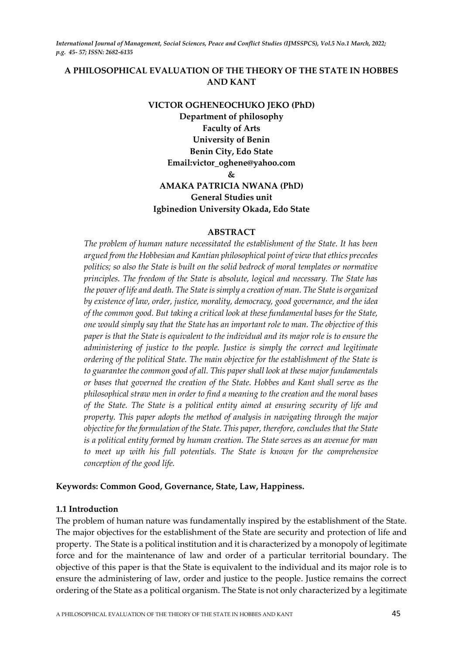## **A PHILOSOPHICAL EVALUATION OF THE THEORY OF THE STATE IN HOBBES AND KANT**

## **VICTOR OGHENEOCHUKO JEKO (PhD) Department of philosophy Faculty of Arts University of Benin Benin City, Edo State Email:victor\_oghene@yahoo.com & AMAKA PATRICIA NWANA (PhD)**

# **General Studies unit Igbinedion University Okada, Edo State**

## **ABSTRACT**

*The problem of human nature necessitated the establishment of the State. It has been argued from the Hobbesian and Kantian philosophical point of view that ethics precedes politics; so also the State is built on the solid bedrock of moral templates or normative principles. The freedom of the State is absolute, logical and necessary. The State has the power of life and death. The State is simply a creation of man. The State is organized by existence of law, order, justice, morality, democracy, good governance, and the idea of the common good. But taking a critical look at these fundamental bases for the State, one would simply say that the State has an important role to man. The objective of this paper is that the State is equivalent to the individual and its major role is to ensure the administering of justice to the people. Justice is simply the correct and legitimate ordering of the political State. The main objective for the establishment of the State is to guarantee the common good of all. This paper shall look at these major fundamentals or bases that governed the creation of the State. Hobbes and Kant shall serve as the philosophical straw men in order to find a meaning to the creation and the moral bases of the State. The State is a political entity aimed at ensuring security of life and property. This paper adopts the method of analysis in navigating through the major objective for the formulation of the State. This paper, therefore, concludes that the State is a political entity formed by human creation. The State serves as an avenue for man to meet up with his full potentials. The State is known for the comprehensive conception of the good life.* 

#### **Keywords: Common Good, Governance, State, Law, Happiness.**

#### **1.1 Introduction**

The problem of human nature was fundamentally inspired by the establishment of the State. The major objectives for the establishment of the State are security and protection of life and property. The State is a political institution and it is characterized by a monopoly of legitimate force and for the maintenance of law and order of a particular territorial boundary. The objective of this paper is that the State is equivalent to the individual and its major role is to ensure the administering of law, order and justice to the people. Justice remains the correct ordering of the State as a political organism. The State is not only characterized by a legitimate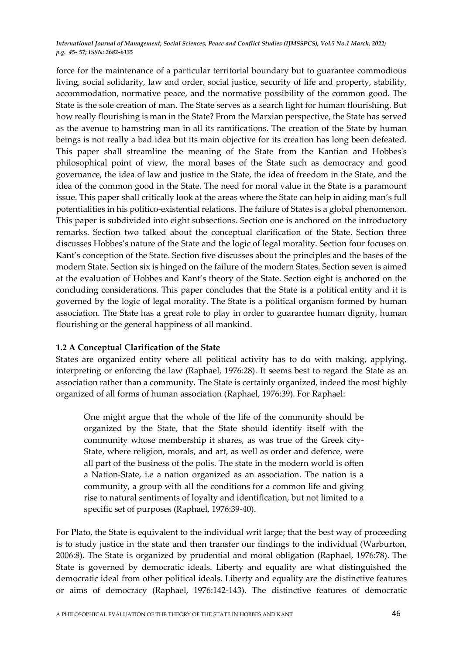force for the maintenance of a particular territorial boundary but to guarantee commodious living, social solidarity, law and order, social justice, security of life and property, stability, accommodation, normative peace, and the normative possibility of the common good. The State is the sole creation of man. The State serves as a search light for human flourishing. But how really flourishing is man in the State? From the Marxian perspective, the State has served as the avenue to hamstring man in all its ramifications. The creation of the State by human beings is not really a bad idea but its main objective for its creation has long been defeated. This paper shall streamline the meaning of the State from the Kantian and Hobbes's philosophical point of view, the moral bases of the State such as democracy and good governance, the idea of law and justice in the State, the idea of freedom in the State, and the idea of the common good in the State. The need for moral value in the State is a paramount issue. This paper shall critically look at the areas where the State can help in aiding man's full potentialities in his politico-existential relations. The failure of States is a global phenomenon. This paper is subdivided into eight subsections. Section one is anchored on the introductory remarks. Section two talked about the conceptual clarification of the State. Section three discusses Hobbes's nature of the State and the logic of legal morality. Section four focuses on Kant's conception of the State. Section five discusses about the principles and the bases of the modern State. Section six is hinged on the failure of the modern States. Section seven is aimed at the evaluation of Hobbes and Kant's theory of the State. Section eight is anchored on the concluding considerations. This paper concludes that the State is a political entity and it is governed by the logic of legal morality. The State is a political organism formed by human association. The State has a great role to play in order to guarantee human dignity, human flourishing or the general happiness of all mankind.

## **1.2 A Conceptual Clarification of the State**

States are organized entity where all political activity has to do with making, applying, interpreting or enforcing the law (Raphael, 1976:28). It seems best to regard the State as an association rather than a community. The State is certainly organized, indeed the most highly organized of all forms of human association (Raphael, 1976:39). For Raphael:

One might argue that the whole of the life of the community should be organized by the State, that the State should identify itself with the community whose membership it shares, as was true of the Greek city-State, where religion, morals, and art, as well as order and defence, were all part of the business of the polis. The state in the modern world is often a Nation-State, i.e a nation organized as an association. The nation is a community, a group with all the conditions for a common life and giving rise to natural sentiments of loyalty and identification, but not limited to a specific set of purposes (Raphael, 1976:39-40).

For Plato, the State is equivalent to the individual writ large; that the best way of proceeding is to study justice in the state and then transfer our findings to the individual (Warburton, 2006:8). The State is organized by prudential and moral obligation (Raphael, 1976:78). The State is governed by democratic ideals. Liberty and equality are what distinguished the democratic ideal from other political ideals. Liberty and equality are the distinctive features or aims of democracy (Raphael, 1976:142-143). The distinctive features of democratic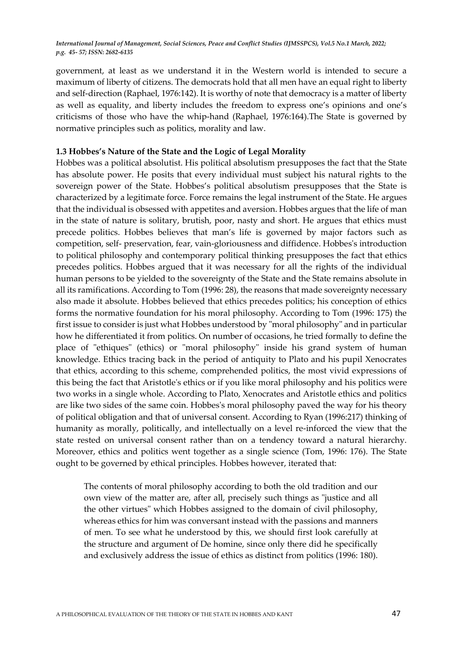government, at least as we understand it in the Western world is intended to secure a maximum of liberty of citizens. The democrats hold that all men have an equal right to liberty and self-direction (Raphael, 1976:142). It is worthy of note that democracy is a matter of liberty as well as equality, and liberty includes the freedom to express one's opinions and one's criticisms of those who have the whip-hand (Raphael, 1976:164).The State is governed by normative principles such as politics, morality and law.

#### **1.3 Hobbes's Nature of the State and the Logic of Legal Morality**

Hobbes was a political absolutist. His political absolutism presupposes the fact that the State has absolute power. He posits that every individual must subject his natural rights to the sovereign power of the State. Hobbes's political absolutism presupposes that the State is characterized by a legitimate force. Force remains the legal instrument of the State. He argues that the individual is obsessed with appetites and aversion. Hobbes argues that the life of man in the state of nature is solitary, brutish, poor, nasty and short. He argues that ethics must precede politics. Hobbes believes that man's life is governed by major factors such as competition, self- preservation, fear, vain-gloriousness and diffidence. Hobbes's introduction to political philosophy and contemporary political thinking presupposes the fact that ethics precedes politics. Hobbes argued that it was necessary for all the rights of the individual human persons to be yielded to the sovereignty of the State and the State remains absolute in all its ramifications. According to Tom (1996: 28), the reasons that made sovereignty necessary also made it absolute. Hobbes believed that ethics precedes politics; his conception of ethics forms the normative foundation for his moral philosophy. According to Tom (1996: 175) the first issue to consider is just what Hobbes understood by "moral philosophy" and in particular how he differentiated it from politics. On number of occasions, he tried formally to define the place of "ethiques" (ethics) or "moral philosophy" inside his grand system of human knowledge. Ethics tracing back in the period of antiquity to Plato and his pupil Xenocrates that ethics, according to this scheme, comprehended politics, the most vivid expressions of this being the fact that Aristotle's ethics or if you like moral philosophy and his politics were two works in a single whole. According to Plato, Xenocrates and Aristotle ethics and politics are like two sides of the same coin. Hobbes's moral philosophy paved the way for his theory of political obligation and that of universal consent. According to Ryan (1996:217) thinking of humanity as morally, politically, and intellectually on a level re-inforced the view that the state rested on universal consent rather than on a tendency toward a natural hierarchy. Moreover, ethics and politics went together as a single science (Tom, 1996: 176). The State ought to be governed by ethical principles. Hobbes however, iterated that:

The contents of moral philosophy according to both the old tradition and our own view of the matter are, after all, precisely such things as "justice and all the other virtues" which Hobbes assigned to the domain of civil philosophy, whereas ethics for him was conversant instead with the passions and manners of men. To see what he understood by this, we should first look carefully at the structure and argument of De homine, since only there did he specifically and exclusively address the issue of ethics as distinct from politics (1996: 180).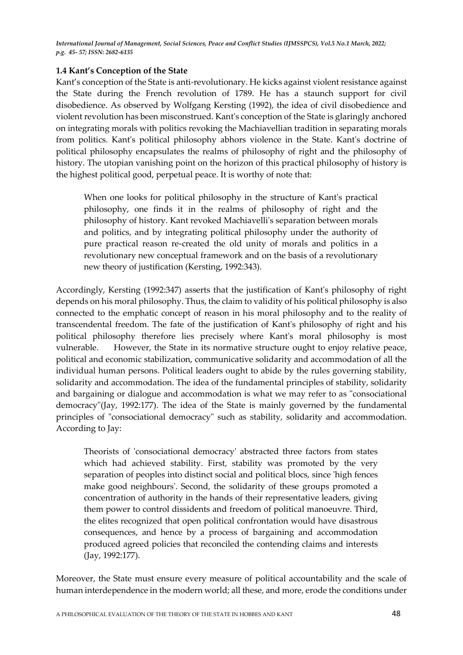## **1.4 Kant's Conception of the State**

Kant's conception of the State is anti-revolutionary. He kicks against violent resistance against the State during the French revolution of 1789. He has a staunch support for civil disobedience. As observed by Wolfgang Kersting (1992), the idea of civil disobedience and violent revolution has been misconstrued. Kant's conception of the State is glaringly anchored on integrating morals with politics revoking the Machiavellian tradition in separating morals from politics. Kant's political philosophy abhors violence in the State. Kant's doctrine of political philosophy encapsulates the realms of philosophy of right and the philosophy of history. The utopian vanishing point on the horizon of this practical philosophy of history is the highest political good, perpetual peace. It is worthy of note that:

When one looks for political philosophy in the structure of Kant's practical philosophy, one finds it in the realms of philosophy of right and the philosophy of history. Kant revoked Machiavelli's separation between morals and politics, and by integrating political philosophy under the authority of pure practical reason re-created the old unity of morals and politics in a revolutionary new conceptual framework and on the basis of a revolutionary new theory of justification (Kersting, 1992:343).

Accordingly, Kersting (1992:347) asserts that the justification of Kant's philosophy of right depends on his moral philosophy. Thus, the claim to validity of his political philosophy is also connected to the emphatic concept of reason in his moral philosophy and to the reality of transcendental freedom. The fate of the justification of Kant's philosophy of right and his political philosophy therefore lies precisely where Kant's moral philosophy is most vulnerable. However, the State in its normative structure ought to enjoy relative peace, political and economic stabilization, communicative solidarity and accommodation of all the individual human persons. Political leaders ought to abide by the rules governing stability, solidarity and accommodation. The idea of the fundamental principles of stability, solidarity and bargaining or dialogue and accommodation is what we may refer to as "consociational democracy"(Jay, 1992:177). The idea of the State is mainly governed by the fundamental principles of "consociational democracy" such as stability, solidarity and accommodation. According to Jay:

Theorists of 'consociational democracy' abstracted three factors from states which had achieved stability. First, stability was promoted by the very separation of peoples into distinct social and political blocs, since 'high fences make good neighbours'. Second, the solidarity of these groups promoted a concentration of authority in the hands of their representative leaders, giving them power to control dissidents and freedom of political manoeuvre. Third, the elites recognized that open political confrontation would have disastrous consequences, and hence by a process of bargaining and accommodation produced agreed policies that reconciled the contending claims and interests (Jay, 1992:177).

Moreover, the State must ensure every measure of political accountability and the scale of human interdependence in the modern world; all these, and more, erode the conditions under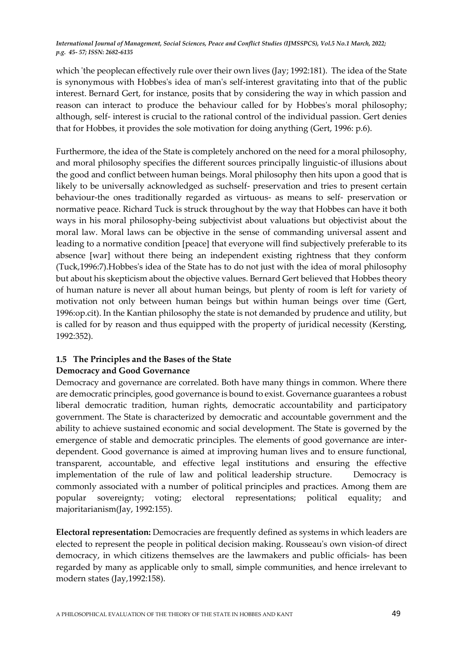which 'the peoplecan effectively rule over their own lives (Jay; 1992:181). The idea of the State is synonymous with Hobbes's idea of man's self-interest gravitating into that of the public interest. Bernard Gert, for instance, posits that by considering the way in which passion and reason can interact to produce the behaviour called for by Hobbes's moral philosophy; although, self- interest is crucial to the rational control of the individual passion. Gert denies that for Hobbes, it provides the sole motivation for doing anything (Gert, 1996: p.6).

Furthermore, the idea of the State is completely anchored on the need for a moral philosophy, and moral philosophy specifies the different sources principally linguistic-of illusions about the good and conflict between human beings. Moral philosophy then hits upon a good that is likely to be universally acknowledged as suchself- preservation and tries to present certain behaviour-the ones traditionally regarded as virtuous- as means to self- preservation or normative peace. Richard Tuck is struck throughout by the way that Hobbes can have it both ways in his moral philosophy-being subjectivist about valuations but objectivist about the moral law. Moral laws can be objective in the sense of commanding universal assent and leading to a normative condition [peace] that everyone will find subjectively preferable to its absence [war] without there being an independent existing rightness that they conform (Tuck,1996:7).Hobbes's idea of the State has to do not just with the idea of moral philosophy but about his skepticism about the objective values. Bernard Gert believed that Hobbes theory of human nature is never all about human beings, but plenty of room is left for variety of motivation not only between human beings but within human beings over time (Gert, 1996:op.cit). In the Kantian philosophy the state is not demanded by prudence and utility, but is called for by reason and thus equipped with the property of juridical necessity (Kersting, 1992:352).

# **1.5 The Principles and the Bases of the State**

## **Democracy and Good Governance**

Democracy and governance are correlated. Both have many things in common. Where there are democratic principles, good governance is bound to exist. Governance guarantees a robust liberal democratic tradition, human rights, democratic accountability and participatory government. The State is characterized by democratic and accountable government and the ability to achieve sustained economic and social development. The State is governed by the emergence of stable and democratic principles. The elements of good governance are interdependent. Good governance is aimed at improving human lives and to ensure functional, transparent, accountable, and effective legal institutions and ensuring the effective implementation of the rule of law and political leadership structure. Democracy is commonly associated with a number of political principles and practices. Among them are popular sovereignty; voting; electoral representations; political equality; and majoritarianism(Jay, 1992:155).

**Electoral representation:** Democracies are frequently defined as systems in which leaders are elected to represent the people in political decision making. Rousseau's own vision-of direct democracy, in which citizens themselves are the lawmakers and public officials- has been regarded by many as applicable only to small, simple communities, and hence irrelevant to modern states (Jay,1992:158).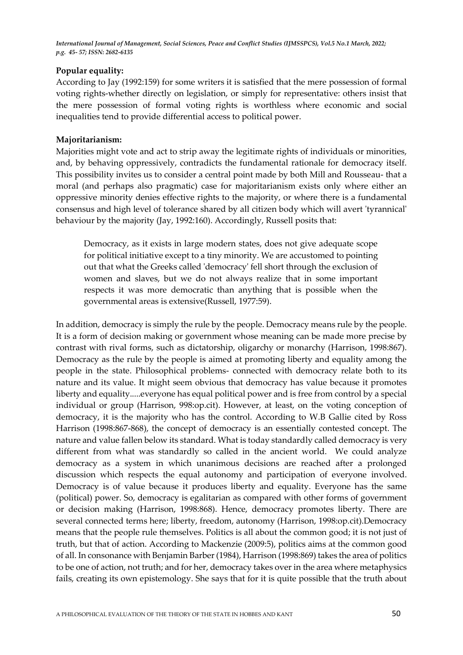## **Popular equality:**

According to Jay (1992:159) for some writers it is satisfied that the mere possession of formal voting rights-whether directly on legislation, or simply for representative: others insist that the mere possession of formal voting rights is worthless where economic and social inequalities tend to provide differential access to political power.

#### **Majoritarianism:**

Majorities might vote and act to strip away the legitimate rights of individuals or minorities, and, by behaving oppressively, contradicts the fundamental rationale for democracy itself. This possibility invites us to consider a central point made by both Mill and Rousseau- that a moral (and perhaps also pragmatic) case for majoritarianism exists only where either an oppressive minority denies effective rights to the majority, or where there is a fundamental consensus and high level of tolerance shared by all citizen body which will avert 'tyrannical' behaviour by the majority (Jay, 1992:160). Accordingly, Russell posits that:

Democracy, as it exists in large modern states, does not give adequate scope for political initiative except to a tiny minority. We are accustomed to pointing out that what the Greeks called 'democracy' fell short through the exclusion of women and slaves, but we do not always realize that in some important respects it was more democratic than anything that is possible when the governmental areas is extensive(Russell, 1977:59).

In addition, democracy is simply the rule by the people. Democracy means rule by the people. It is a form of decision making or government whose meaning can be made more precise by contrast with rival forms, such as dictatorship, oligarchy or monarchy (Harrison, 1998:867). Democracy as the rule by the people is aimed at promoting liberty and equality among the people in the state. Philosophical problems- connected with democracy relate both to its nature and its value. It might seem obvious that democracy has value because it promotes liberty and equality.....everyone has equal political power and is free from control by a special individual or group (Harrison, 998:op.cit). However, at least, on the voting conception of democracy, it is the majority who has the control. According to W.B Gallie cited by Ross Harrison (1998:867-868), the concept of democracy is an essentially contested concept. The nature and value fallen below its standard. What is today standardly called democracy is very different from what was standardly so called in the ancient world. We could analyze democracy as a system in which unanimous decisions are reached after a prolonged discussion which respects the equal autonomy and participation of everyone involved. Democracy is of value because it produces liberty and equality. Everyone has the same (political) power. So, democracy is egalitarian as compared with other forms of government or decision making (Harrison, 1998:868). Hence, democracy promotes liberty. There are several connected terms here; liberty, freedom, autonomy (Harrison, 1998:op.cit).Democracy means that the people rule themselves. Politics is all about the common good; it is not just of truth, but that of action. According to Mackenzie (2009:5), politics aims at the common good of all. In consonance with Benjamin Barber (1984), Harrison (1998:869) takes the area of politics to be one of action, not truth; and for her, democracy takes over in the area where metaphysics fails, creating its own epistemology. She says that for it is quite possible that the truth about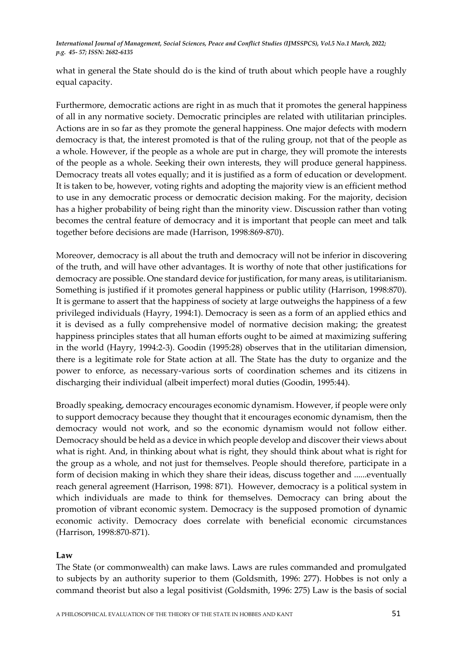what in general the State should do is the kind of truth about which people have a roughly equal capacity.

Furthermore, democratic actions are right in as much that it promotes the general happiness of all in any normative society. Democratic principles are related with utilitarian principles. Actions are in so far as they promote the general happiness. One major defects with modern democracy is that, the interest promoted is that of the ruling group, not that of the people as a whole. However, if the people as a whole are put in charge, they will promote the interests of the people as a whole. Seeking their own interests, they will produce general happiness. Democracy treats all votes equally; and it is justified as a form of education or development. It is taken to be, however, voting rights and adopting the majority view is an efficient method to use in any democratic process or democratic decision making. For the majority, decision has a higher probability of being right than the minority view. Discussion rather than voting becomes the central feature of democracy and it is important that people can meet and talk together before decisions are made (Harrison, 1998:869-870).

Moreover, democracy is all about the truth and democracy will not be inferior in discovering of the truth, and will have other advantages. It is worthy of note that other justifications for democracy are possible. One standard device for justification, for many areas, is utilitarianism. Something is justified if it promotes general happiness or public utility (Harrison, 1998:870). It is germane to assert that the happiness of society at large outweighs the happiness of a few privileged individuals (Hayry, 1994:1). Democracy is seen as a form of an applied ethics and it is devised as a fully comprehensive model of normative decision making; the greatest happiness principles states that all human efforts ought to be aimed at maximizing suffering in the world (Hayry, 1994:2-3). Goodin (1995:28) observes that in the utilitarian dimension, there is a legitimate role for State action at all. The State has the duty to organize and the power to enforce, as necessary-various sorts of coordination schemes and its citizens in discharging their individual (albeit imperfect) moral duties (Goodin, 1995:44).

Broadly speaking, democracy encourages economic dynamism. However, if people were only to support democracy because they thought that it encourages economic dynamism, then the democracy would not work, and so the economic dynamism would not follow either. Democracy should be held as a device in which people develop and discover their views about what is right. And, in thinking about what is right, they should think about what is right for the group as a whole, and not just for themselves. People should therefore, participate in a form of decision making in which they share their ideas, discuss together and ......eventually reach general agreement (Harrison, 1998: 871). However, democracy is a political system in which individuals are made to think for themselves. Democracy can bring about the promotion of vibrant economic system. Democracy is the supposed promotion of dynamic economic activity. Democracy does correlate with beneficial economic circumstances (Harrison, 1998:870-871).

## **Law**

The State (or commonwealth) can make laws. Laws are rules commanded and promulgated to subjects by an authority superior to them (Goldsmith, 1996: 277). Hobbes is not only a command theorist but also a legal positivist (Goldsmith, 1996: 275) Law is the basis of social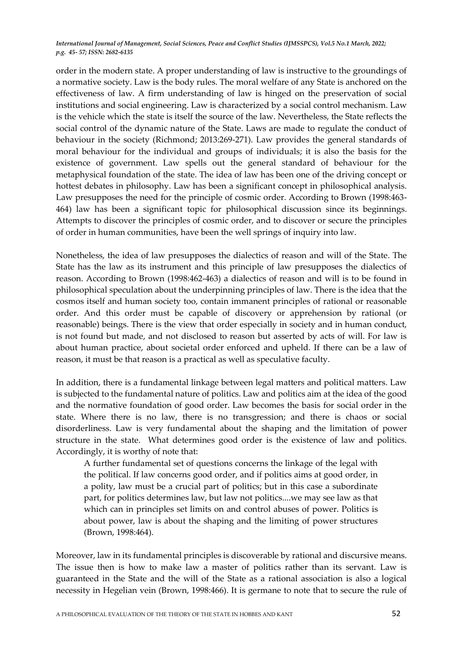order in the modern state. A proper understanding of law is instructive to the groundings of a normative society. Law is the body rules. The moral welfare of any State is anchored on the effectiveness of law. A firm understanding of law is hinged on the preservation of social institutions and social engineering. Law is characterized by a social control mechanism. Law is the vehicle which the state is itself the source of the law. Nevertheless, the State reflects the social control of the dynamic nature of the State. Laws are made to regulate the conduct of behaviour in the society (Richmond; 2013:269-271). Law provides the general standards of moral behaviour for the individual and groups of individuals; it is also the basis for the existence of government. Law spells out the general standard of behaviour for the metaphysical foundation of the state. The idea of law has been one of the driving concept or hottest debates in philosophy. Law has been a significant concept in philosophical analysis. Law presupposes the need for the principle of cosmic order. According to Brown (1998:463- 464) law has been a significant topic for philosophical discussion since its beginnings. Attempts to discover the principles of cosmic order, and to discover or secure the principles of order in human communities, have been the well springs of inquiry into law.

Nonetheless, the idea of law presupposes the dialectics of reason and will of the State. The State has the law as its instrument and this principle of law presupposes the dialectics of reason. According to Brown (1998:462-463) a dialectics of reason and will is to be found in philosophical speculation about the underpinning principles of law. There is the idea that the cosmos itself and human society too, contain immanent principles of rational or reasonable order. And this order must be capable of discovery or apprehension by rational (or reasonable) beings. There is the view that order especially in society and in human conduct, is not found but made, and not disclosed to reason but asserted by acts of will. For law is about human practice, about societal order enforced and upheld. If there can be a law of reason, it must be that reason is a practical as well as speculative faculty.

In addition, there is a fundamental linkage between legal matters and political matters. Law is subjected to the fundamental nature of politics. Law and politics aim at the idea of the good and the normative foundation of good order. Law becomes the basis for social order in the state. Where there is no law, there is no transgression; and there is chaos or social disorderliness. Law is very fundamental about the shaping and the limitation of power structure in the state. What determines good order is the existence of law and politics. Accordingly, it is worthy of note that:

A further fundamental set of questions concerns the linkage of the legal with the political. If law concerns good order, and if politics aims at good order, in a polity, law must be a crucial part of politics; but in this case a subordinate part, for politics determines law, but law not politics....we may see law as that which can in principles set limits on and control abuses of power. Politics is about power, law is about the shaping and the limiting of power structures (Brown, 1998:464).

Moreover, law in its fundamental principles is discoverable by rational and discursive means. The issue then is how to make law a master of politics rather than its servant. Law is guaranteed in the State and the will of the State as a rational association is also a logical necessity in Hegelian vein (Brown, 1998:466). It is germane to note that to secure the rule of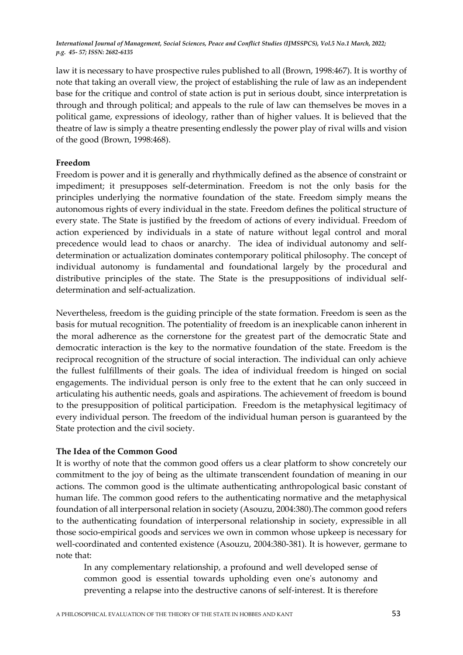law it is necessary to have prospective rules published to all (Brown, 1998:467). It is worthy of note that taking an overall view, the project of establishing the rule of law as an independent base for the critique and control of state action is put in serious doubt, since interpretation is through and through political; and appeals to the rule of law can themselves be moves in a political game, expressions of ideology, rather than of higher values. It is believed that the theatre of law is simply a theatre presenting endlessly the power play of rival wills and vision of the good (Brown, 1998:468).

## **Freedom**

Freedom is power and it is generally and rhythmically defined as the absence of constraint or impediment; it presupposes self-determination. Freedom is not the only basis for the principles underlying the normative foundation of the state. Freedom simply means the autonomous rights of every individual in the state. Freedom defines the political structure of every state. The State is justified by the freedom of actions of every individual. Freedom of action experienced by individuals in a state of nature without legal control and moral precedence would lead to chaos or anarchy. The idea of individual autonomy and selfdetermination or actualization dominates contemporary political philosophy. The concept of individual autonomy is fundamental and foundational largely by the procedural and distributive principles of the state. The State is the presuppositions of individual selfdetermination and self-actualization.

Nevertheless, freedom is the guiding principle of the state formation. Freedom is seen as the basis for mutual recognition. The potentiality of freedom is an inexplicable canon inherent in the moral adherence as the cornerstone for the greatest part of the democratic State and democratic interaction is the key to the normative foundation of the state. Freedom is the reciprocal recognition of the structure of social interaction. The individual can only achieve the fullest fulfillments of their goals. The idea of individual freedom is hinged on social engagements. The individual person is only free to the extent that he can only succeed in articulating his authentic needs, goals and aspirations. The achievement of freedom is bound to the presupposition of political participation. Freedom is the metaphysical legitimacy of every individual person. The freedom of the individual human person is guaranteed by the State protection and the civil society.

#### **The Idea of the Common Good**

It is worthy of note that the common good offers us a clear platform to show concretely our commitment to the joy of being as the ultimate transcendent foundation of meaning in our actions. The common good is the ultimate authenticating anthropological basic constant of human life. The common good refers to the authenticating normative and the metaphysical foundation of all interpersonal relation in society (Asouzu, 2004:380).The common good refers to the authenticating foundation of interpersonal relationship in society, expressible in all those socio-empirical goods and services we own in common whose upkeep is necessary for well-coordinated and contented existence (Asouzu, 2004:380-381). It is however, germane to note that:

In any complementary relationship, a profound and well developed sense of common good is essential towards upholding even one's autonomy and preventing a relapse into the destructive canons of self-interest. It is therefore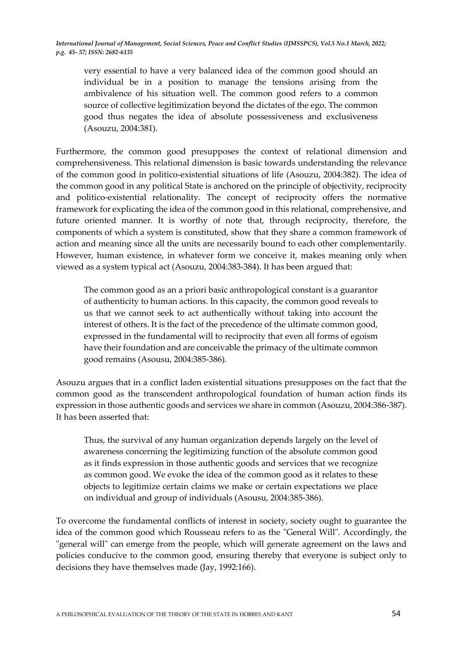very essential to have a very balanced idea of the common good should an individual be in a position to manage the tensions arising from the ambivalence of his situation well. The common good refers to a common source of collective legitimization beyond the dictates of the ego. The common good thus negates the idea of absolute possessiveness and exclusiveness (Asouzu, 2004:381).

Furthermore, the common good presupposes the context of relational dimension and comprehensiveness. This relational dimension is basic towards understanding the relevance of the common good in politico-existential situations of life (Asouzu, 2004:382). The idea of the common good in any political State is anchored on the principle of objectivity, reciprocity and politico-existential relationality. The concept of reciprocity offers the normative framework for explicating the idea of the common good in this relational, comprehensive, and future oriented manner. It is worthy of note that, through reciprocity, therefore, the components of which a system is constituted, show that they share a common framework of action and meaning since all the units are necessarily bound to each other complementarily. However, human existence, in whatever form we conceive it, makes meaning only when viewed as a system typical act (Asouzu, 2004:383-384). It has been argued that:

The common good as an a priori basic anthropological constant is a guarantor of authenticity to human actions. In this capacity, the common good reveals to us that we cannot seek to act authentically without taking into account the interest of others. It is the fact of the precedence of the ultimate common good, expressed in the fundamental will to reciprocity that even all forms of egoism have their foundation and are conceivable the primacy of the ultimate common good remains (Asousu, 2004:385-386)*.*

Asouzu argues that in a conflict laden existential situations presupposes on the fact that the common good as the transcendent anthropological foundation of human action finds its expression in those authentic goods and services we share in common (Asouzu, 2004:386-387). It has been asserted that:

Thus, the survival of any human organization depends largely on the level of awareness concerning the legitimizing function of the absolute common good as it finds expression in those authentic goods and services that we recognize as common good. We evoke the idea of the common good as it relates to these objects to legitimize certain claims we make or certain expectations we place on individual and group of individuals (Asousu, 2004:385-386).

To overcome the fundamental conflicts of interest in society, society ought to guarantee the idea of the common good which Rousseau refers to as the "General Will". Accordingly, the "general will" can emerge from the people, which will generate agreement on the laws and policies conducive to the common good, ensuring thereby that everyone is subject only to decisions they have themselves made (Jay, 1992:166).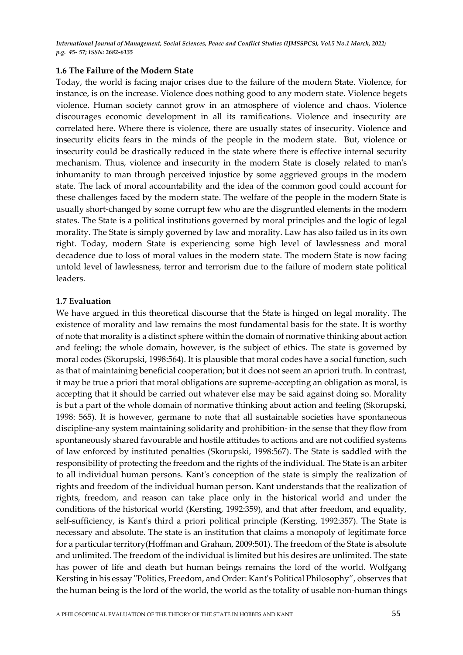## **1.6 The Failure of the Modern State**

Today, the world is facing major crises due to the failure of the modern State. Violence, for instance, is on the increase. Violence does nothing good to any modern state. Violence begets violence. Human society cannot grow in an atmosphere of violence and chaos. Violence discourages economic development in all its ramifications. Violence and insecurity are correlated here. Where there is violence, there are usually states of insecurity. Violence and insecurity elicits fears in the minds of the people in the modern state. But, violence or insecurity could be drastically reduced in the state where there is effective internal security mechanism. Thus, violence and insecurity in the modern State is closely related to man's inhumanity to man through perceived injustice by some aggrieved groups in the modern state. The lack of moral accountability and the idea of the common good could account for these challenges faced by the modern state. The welfare of the people in the modern State is usually short-changed by some corrupt few who are the disgruntled elements in the modern states. The State is a political institutions governed by moral principles and the logic of legal morality. The State is simply governed by law and morality. Law has also failed us in its own right. Today, modern State is experiencing some high level of lawlessness and moral decadence due to loss of moral values in the modern state. The modern State is now facing untold level of lawlessness, terror and terrorism due to the failure of modern state political leaders.

## **1.7 Evaluation**

We have argued in this theoretical discourse that the State is hinged on legal morality. The existence of morality and law remains the most fundamental basis for the state. It is worthy of note that morality is a distinct sphere within the domain of normative thinking about action and feeling; the whole domain, however, is the subject of ethics. The state is governed by moral codes (Skorupski, 1998:564). It is plausible that moral codes have a social function, such as that of maintaining beneficial cooperation; but it does not seem an apriori truth. In contrast, it may be true a priori that moral obligations are supreme-accepting an obligation as moral, is accepting that it should be carried out whatever else may be said against doing so. Morality is but a part of the whole domain of normative thinking about action and feeling (Skorupski, 1998: 565). It is however, germane to note that all sustainable societies have spontaneous discipline-any system maintaining solidarity and prohibition- in the sense that they flow from spontaneously shared favourable and hostile attitudes to actions and are not codified systems of law enforced by instituted penalties (Skorupski, 1998:567). The State is saddled with the responsibility of protecting the freedom and the rights of the individual. The State is an arbiter to all individual human persons. Kant's conception of the state is simply the realization of rights and freedom of the individual human person. Kant understands that the realization of rights, freedom, and reason can take place only in the historical world and under the conditions of the historical world (Kersting, 1992:359), and that after freedom, and equality, self-sufficiency, is Kant's third a priori political principle (Kersting, 1992:357). The State is necessary and absolute. The state is an institution that claims a monopoly of legitimate force for a particular territory(Hoffman and Graham, 2009:501). The freedom of the State is absolute and unlimited. The freedom of the individual is limited but his desires are unlimited. The state has power of life and death but human beings remains the lord of the world. Wolfgang Kersting in his essay "Politics, Freedom, and Order: Kant's Political Philosophy", observes that the human being is the lord of the world, the world as the totality of usable non-human things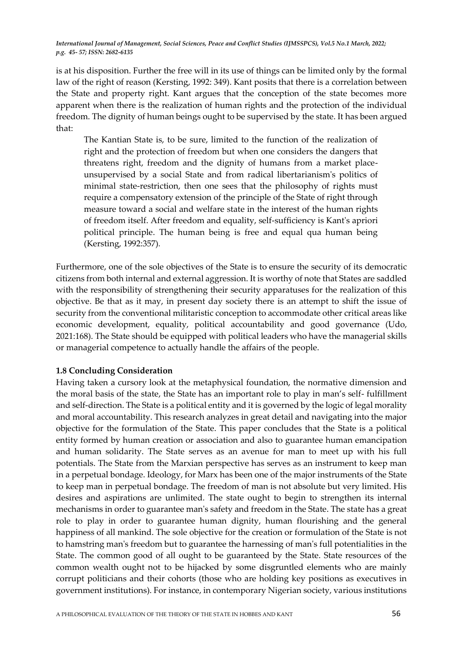is at his disposition. Further the free will in its use of things can be limited only by the formal law of the right of reason (Kersting, 1992: 349). Kant posits that there is a correlation between the State and property right. Kant argues that the conception of the state becomes more apparent when there is the realization of human rights and the protection of the individual freedom. The dignity of human beings ought to be supervised by the state. It has been argued that:

The Kantian State is, to be sure, limited to the function of the realization of right and the protection of freedom but when one considers the dangers that threatens right, freedom and the dignity of humans from a market placeunsupervised by a social State and from radical libertarianism's politics of minimal state-restriction, then one sees that the philosophy of rights must require a compensatory extension of the principle of the State of right through measure toward a social and welfare state in the interest of the human rights of freedom itself. After freedom and equality, self-sufficiency is Kant's apriori political principle. The human being is free and equal qua human being (Kersting, 1992:357)*.*

Furthermore, one of the sole objectives of the State is to ensure the security of its democratic citizens from both internal and external aggression. It is worthy of note that States are saddled with the responsibility of strengthening their security apparatuses for the realization of this objective. Be that as it may, in present day society there is an attempt to shift the issue of security from the conventional militaristic conception to accommodate other critical areas like economic development, equality, political accountability and good governance (Udo, 2021:168). The State should be equipped with political leaders who have the managerial skills or managerial competence to actually handle the affairs of the people.

#### **1.8 Concluding Consideration**

Having taken a cursory look at the metaphysical foundation, the normative dimension and the moral basis of the state, the State has an important role to play in man's self- fulfillment and self-direction. The State is a political entity and it is governed by the logic of legal morality and moral accountability. This research analyzes in great detail and navigating into the major objective for the formulation of the State. This paper concludes that the State is a political entity formed by human creation or association and also to guarantee human emancipation and human solidarity. The State serves as an avenue for man to meet up with his full potentials. The State from the Marxian perspective has serves as an instrument to keep man in a perpetual bondage. Ideology, for Marx has been one of the major instruments of the State to keep man in perpetual bondage. The freedom of man is not absolute but very limited. His desires and aspirations are unlimited. The state ought to begin to strengthen its internal mechanisms in order to guarantee man's safety and freedom in the State. The state has a great role to play in order to guarantee human dignity, human flourishing and the general happiness of all mankind. The sole objective for the creation or formulation of the State is not to hamstring man's freedom but to guarantee the harnessing of man's full potentialities in the State. The common good of all ought to be guaranteed by the State. State resources of the common wealth ought not to be hijacked by some disgruntled elements who are mainly corrupt politicians and their cohorts (those who are holding key positions as executives in government institutions). For instance, in contemporary Nigerian society, various institutions